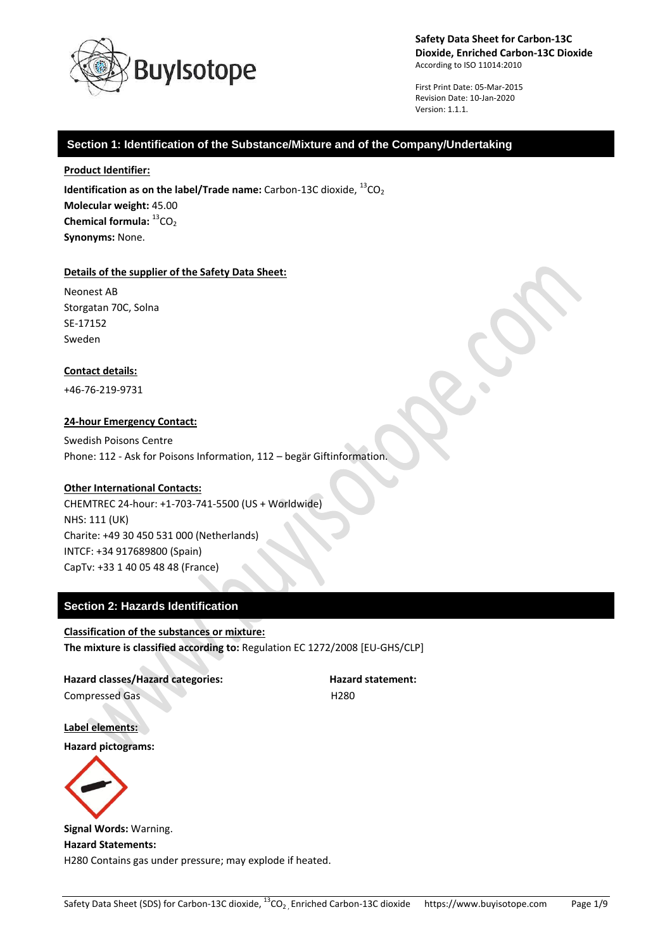

First Print Date: 05-Mar-2015 Revision Date: 10-Jan-2020 Version: 1.1.1.

# **Section 1: Identification of the Substance/Mixture and of the Company/Undertaking**

#### **Product Identifier:**

**Identification as on the label/Trade name:** Carbon-13C dioxide,  ${}^{13}CO_2$ **Molecular weight:** 45.00 **Chemical formula:** <sup>13</sup>CO<sub>2</sub> **Synonyms:** None.

### **Details of the supplier of the Safety Data Sheet:**

Neonest AB Storgatan 70C, Solna SE-17152 Sweden

### **Contact details:**

+46-76-219-9731

### **24-hour Emergency Contact:**

Swedish Poisons Centre Phone: 112 - Ask for Poisons Information, 112 – begär Giftinformation.

### **Other International Contacts:**

CHEMTREC 24-hour: +1-703-741-5500 (US + Worldwide) NHS: 111 (UK) Charite: +49 30 450 531 000 (Netherlands) INTCF: +34 917689800 (Spain) CapTv: +33 1 40 05 48 48 (France)

# **Section 2: Hazards Identification**

**Classification of the substances or mixture: The mixture is classified according to:** Regulation EC 1272/2008 [EU-GHS/CLP]

**Hazard classes/Hazard categories: Hazard statement:** Compressed Gas H280

**Label elements: Hazard pictograms:**



**Signal Words:** Warning. **Hazard Statements:** H280 Contains gas under pressure; may explode if heated.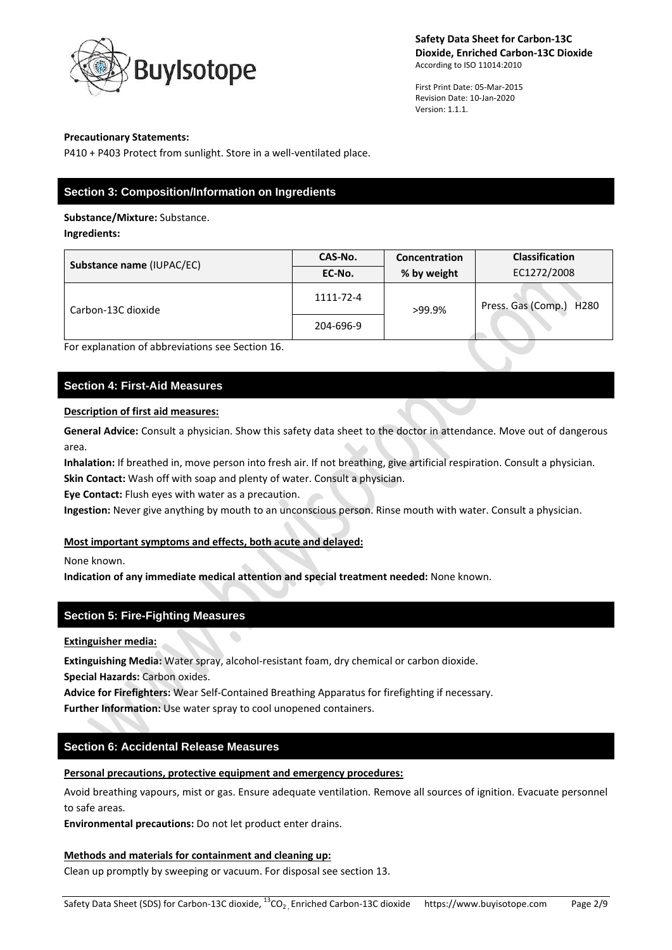

First Print Date: 05-Mar-2015 Revision Date: 10-Jan-2020 Version: 1.1.1.

### **Precautionary Statements:**

P410 + P403 Protect from sunlight. Store in a well-ventilated place.

# **Section 3: Composition/Information on Ingredients**

### **Substance/Mixture:** Substance.

**Ingredients:**

| Substance name (IUPAC/EC) | CAS-No.   | Concentration | <b>Classification</b>                  |
|---------------------------|-----------|---------------|----------------------------------------|
|                           | EC-No.    | % by weight   | EC1272/2008                            |
| Carbon-13C dioxide        | 1111-72-4 | >99.9%        | Press. Gas (Comp.)<br>H <sub>280</sub> |
|                           | 204-696-9 |               |                                        |

For explanation of abbreviations see Section 16.

# **Section 4: First-Aid Measures**

## **Description of first aid measures:**

**General Advice:** Consult a physician. Show this safety data sheet to the doctor in attendance. Move out of dangerous area.

**Inhalation:** If breathed in, move person into fresh air. If not breathing, give artificial respiration. Consult a physician.

**Skin Contact:** Wash off with soap and plenty of water. Consult a physician.

**Eye Contact:** Flush eyes with water as a precaution.

**Ingestion:** Never give anything by mouth to an unconscious person. Rinse mouth with water. Consult a physician.

## **Most important symptoms and effects, both acute and delayed:**

None known.

**Indication of any immediate medical attention and special treatment needed:** None known.

# **Section 5: Fire-Fighting Measures**

**Extinguisher media:**

**Extinguishing Media:** Water spray, alcohol-resistant foam, dry chemical or carbon dioxide.

**Special Hazards:** Carbon oxides.

**Advice for Firefighters:** Wear Self-Contained Breathing Apparatus for firefighting if necessary.

**Further Information:** Use water spray to cool unopened containers.

# **Section 6: Accidental Release Measures**

## **Personal precautions, protective equipment and emergency procedures:**

Avoid breathing vapours, mist or gas. Ensure adequate ventilation. Remove all sources of ignition. Evacuate personnel to safe areas.

**Environmental precautions:** Do not let product enter drains.

## **Methods and materials for containment and cleaning up:**

Clean up promptly by sweeping or vacuum. For disposal see section 13.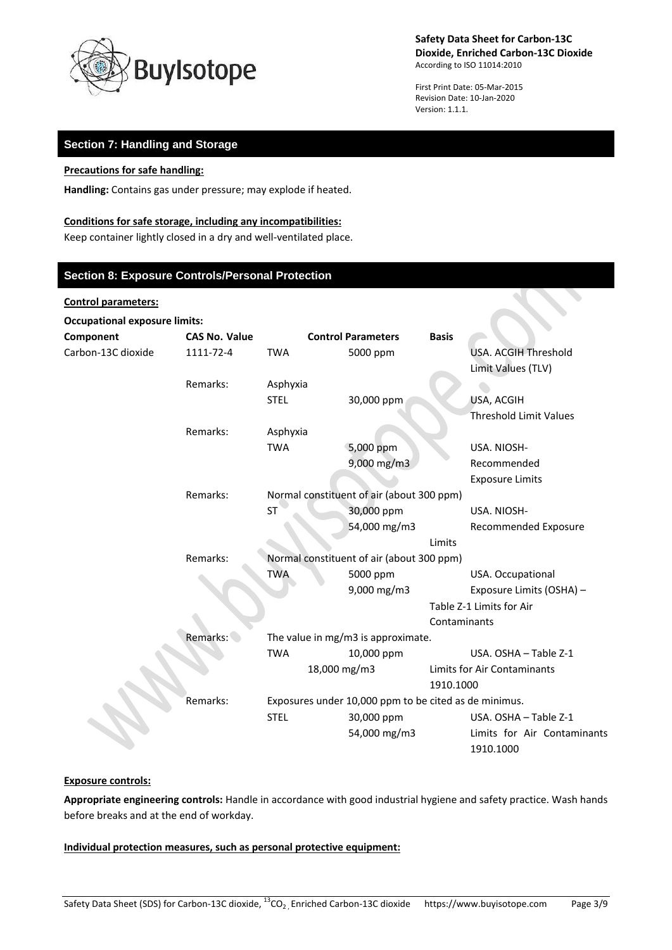

First Print Date: 05-Mar-2015 Revision Date: 10-Jan-2020 Version: 1.1.1.

# **Section 7: Handling and Storage**

## **Precautions for safe handling:**

**Handling:** Contains gas under pressure; may explode if heated.

### **Conditions for safe storage, including any incompatibilities:**

Keep container lightly closed in a dry and well-ventilated place.

# **Section 8: Exposure Controls/Personal Protection**

#### **Control parameters:**

| <b>Occupational exposure limits:</b> |                      |                                                       |                           |              |                               |  |
|--------------------------------------|----------------------|-------------------------------------------------------|---------------------------|--------------|-------------------------------|--|
| Component                            | <b>CAS No. Value</b> |                                                       | <b>Control Parameters</b> | <b>Basis</b> |                               |  |
| Carbon-13C dioxide                   | 1111-72-4            | <b>TWA</b>                                            | 5000 ppm                  |              | <b>USA. ACGIH Threshold</b>   |  |
|                                      |                      |                                                       |                           |              | Limit Values (TLV)            |  |
|                                      | Remarks:             | Asphyxia                                              |                           |              |                               |  |
|                                      |                      | <b>STEL</b>                                           | 30,000 ppm                |              | USA, ACGIH                    |  |
|                                      |                      |                                                       |                           |              | <b>Threshold Limit Values</b> |  |
|                                      | Remarks:             | Asphyxia                                              |                           |              |                               |  |
|                                      |                      | <b>TWA</b>                                            | 5,000 ppm                 |              | USA. NIOSH-                   |  |
|                                      |                      |                                                       | 9,000 mg/m3               |              | Recommended                   |  |
|                                      |                      |                                                       |                           |              | <b>Exposure Limits</b>        |  |
|                                      | Remarks:             | Normal constituent of air (about 300 ppm)             |                           |              |                               |  |
|                                      |                      | <b>ST</b>                                             | 30,000 ppm                |              | USA. NIOSH-                   |  |
|                                      |                      |                                                       | 54,000 mg/m3              |              | Recommended Exposure          |  |
|                                      |                      |                                                       |                           | Limits       |                               |  |
|                                      | Remarks:             | Normal constituent of air (about 300 ppm)             |                           |              |                               |  |
|                                      |                      | <b>TWA</b>                                            | 5000 ppm                  |              | USA. Occupational             |  |
|                                      |                      |                                                       | 9,000 mg/m3               |              | Exposure Limits (OSHA) -      |  |
|                                      |                      |                                                       |                           |              | Table Z-1 Limits for Air      |  |
|                                      |                      |                                                       |                           | Contaminants |                               |  |
|                                      | Remarks:             | The value in mg/m3 is approximate.                    |                           |              |                               |  |
|                                      |                      | <b>TWA</b>                                            | 10,000 ppm                |              | USA. OSHA - Table Z-1         |  |
|                                      |                      |                                                       | 18,000 mg/m3              |              | Limits for Air Contaminants   |  |
|                                      |                      |                                                       |                           | 1910.1000    |                               |  |
|                                      | Remarks:             | Exposures under 10,000 ppm to be cited as de minimus. |                           |              |                               |  |
|                                      |                      | <b>STEL</b>                                           | 30,000 ppm                |              | USA. OSHA - Table Z-1         |  |
|                                      |                      |                                                       | 54,000 mg/m3              |              | Limits for Air Contaminants   |  |
|                                      |                      |                                                       |                           |              | 1910.1000                     |  |

## **Exposure controls:**

**Appropriate engineering controls:** Handle in accordance with good industrial hygiene and safety practice. Wash hands before breaks and at the end of workday.

**Individual protection measures, such as personal protective equipment:**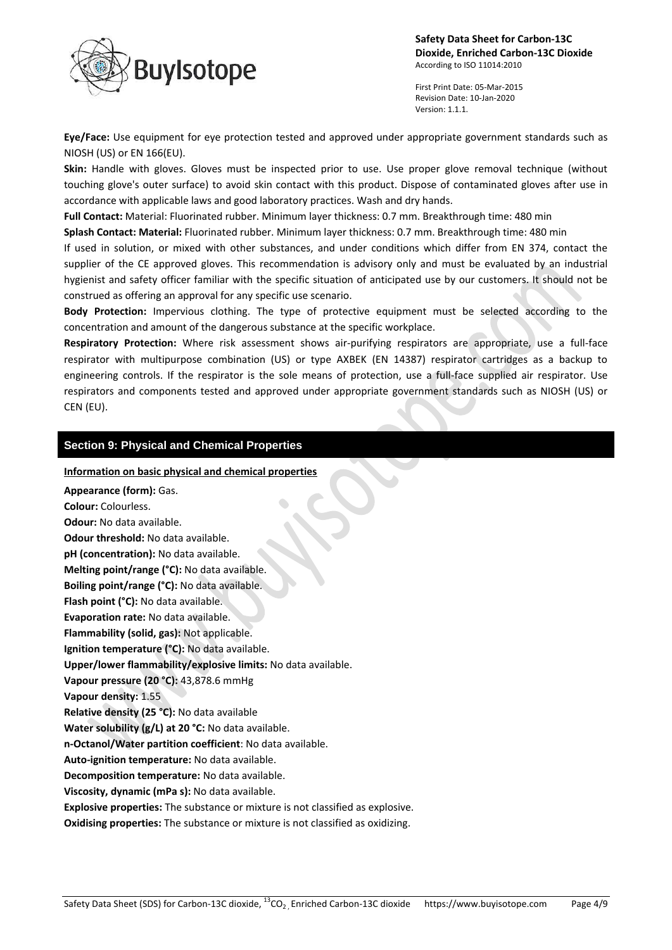

First Print Date: 05-Mar-2015 Revision Date: 10-Jan-2020 Version: 1.1.1.

**Eye/Face:** Use equipment for eye protection tested and approved under appropriate government standards such as NIOSH (US) or EN 166(EU).

**Skin:** Handle with gloves. Gloves must be inspected prior to use. Use proper glove removal technique (without touching glove's outer surface) to avoid skin contact with this product. Dispose of contaminated gloves after use in accordance with applicable laws and good laboratory practices. Wash and dry hands.

**Full Contact:** Material: Fluorinated rubber. Minimum layer thickness: 0.7 mm. Breakthrough time: 480 min

**Splash Contact: Material:** Fluorinated rubber. Minimum layer thickness: 0.7 mm. Breakthrough time: 480 min

If used in solution, or mixed with other substances, and under conditions which differ from EN 374, contact the supplier of the CE approved gloves. This recommendation is advisory only and must be evaluated by an industrial hygienist and safety officer familiar with the specific situation of anticipated use by our customers. It should not be construed as offering an approval for any specific use scenario.

**Body Protection:** Impervious clothing. The type of protective equipment must be selected according to the concentration and amount of the dangerous substance at the specific workplace.

**Respiratory Protection:** Where risk assessment shows air-purifying respirators are appropriate, use a full-face respirator with multipurpose combination (US) or type AXBEK (EN 14387) respirator cartridges as a backup to engineering controls. If the respirator is the sole means of protection, use a full-face supplied air respirator. Use respirators and components tested and approved under appropriate government standards such as NIOSH (US) or CEN (EU).

## **Section 9: Physical and Chemical Properties**

### **Information on basic physical and chemical properties**

**Appearance (form):** Gas. **Colour:** Colourless. **Odour:** No data available. **Odour threshold:** No data available. **pH (concentration):** No data available. **Melting point/range (°C):** No data available. **Boiling point/range (°C):** No data available. **Flash point (°C):** No data available. **Evaporation rate:** No data available. **Flammability (solid, gas):** Not applicable. **Ignition temperature (°C):** No data available. **Upper/lower flammability/explosive limits:** No data available. **Vapour pressure (20 °C):** 43,878.6 mmHg **Vapour density:** 1.55 **Relative density (25 °C):** No data available **Water solubility (g/L) at 20 °C:** No data available. **n-Octanol/Water partition coefficient**: No data available. **Auto-ignition temperature:** No data available. **Decomposition temperature:** No data available. **Viscosity, dynamic (mPa s):** No data available. **Explosive properties:** The substance or mixture is not classified as explosive. **Oxidising properties:** The substance or mixture is not classified as oxidizing.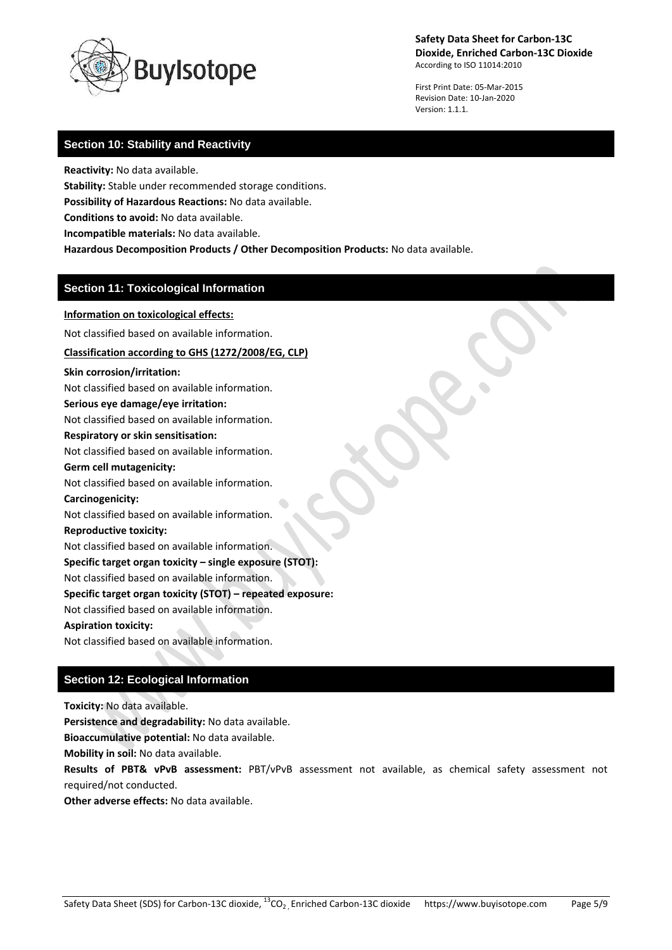

First Print Date: 05-Mar-2015 Revision Date: 10-Jan-2020 Version: 1.1.1.

# **Section 10: Stability and Reactivity**

**Reactivity:** No data available.

**Stability:** Stable under recommended storage conditions.

**Possibility of Hazardous Reactions:** No data available.

**Conditions to avoid:** No data available.

**Incompatible materials:** No data available.

**Hazardous Decomposition Products / Other Decomposition Products:** No data available.

# **Section 11: Toxicological Information**

**Information on toxicological effects:**

Not classified based on available information.

**Classification according to GHS (1272/2008/EG, CLP)**

#### **Skin corrosion/irritation:**

Not classified based on available information. **Serious eye damage/eye irritation:** Not classified based on available information.

# **Respiratory or skin sensitisation:**

Not classified based on available information.

# **Germ cell mutagenicity:**

Not classified based on available information.

### **Carcinogenicity:**

Not classified based on available information.

### **Reproductive toxicity:**

Not classified based on available information.

# **Specific target organ toxicity – single exposure (STOT):**

Not classified based on available information.

## **Specific target organ toxicity (STOT) – repeated exposure:**

Not classified based on available information.

#### **Aspiration toxicity:**

Not classified based on available information.

# **Section 12: Ecological Information**

**Toxicity:** No data available.

**Persistence and degradability:** No data available.

**Bioaccumulative potential:** No data available.

**Mobility in soil:** No data available.

**Results of PBT& vPvB assessment:** PBT/vPvB assessment not available, as chemical safety assessment not required/not conducted.

**Other adverse effects:** No data available.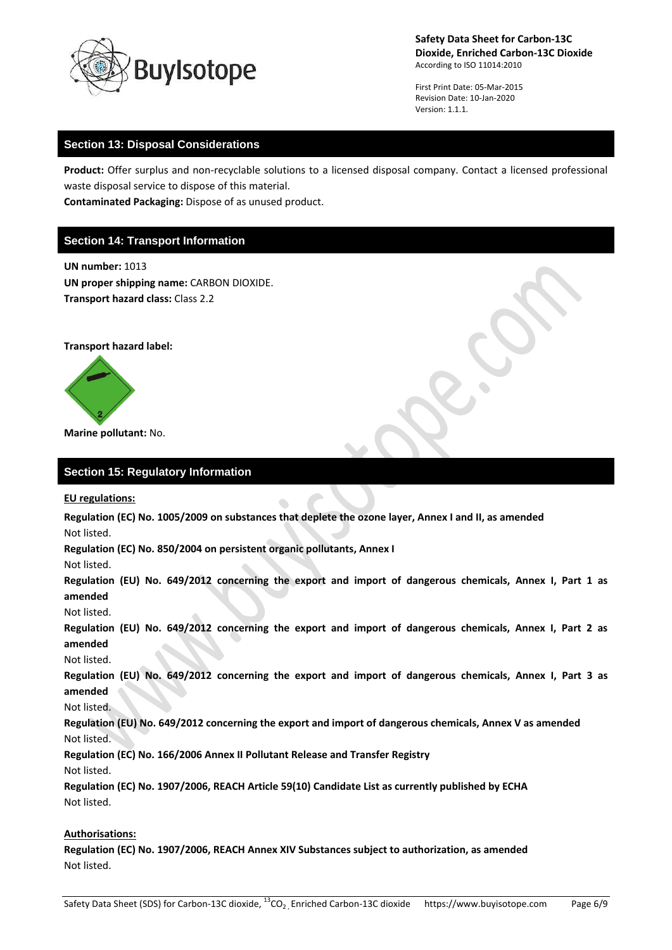

First Print Date: 05-Mar-2015 Revision Date: 10-Jan-2020 Version: 1.1.1.

# **Section 13: Disposal Considerations**

**Product:** Offer surplus and non-recyclable solutions to a licensed disposal company. Contact a licensed professional waste disposal service to dispose of this material.

**Contaminated Packaging:** Dispose of as unused product.

# **Section 14: Transport Information**

**UN number:** 1013 **UN proper shipping name:** CARBON DIOXIDE. **Transport hazard class:** Class 2.2

**Transport hazard label:**



**Marine pollutant:** No.

## **Section 15: Regulatory Information**

**EU regulations:**

**Regulation (EC) No. 1005/2009 on substances that deplete the ozone layer, Annex I and II, as amended** Not listed.

**Regulation (EC) No. 850/2004 on persistent organic pollutants, Annex I**

Not listed.

**Regulation (EU) No. 649/2012 concerning the export and import of dangerous chemicals, Annex I, Part 1 as amended**

Not listed.

**Regulation (EU) No. 649/2012 concerning the export and import of dangerous chemicals, Annex I, Part 2 as amended**

Not listed.

**Regulation (EU) No. 649/2012 concerning the export and import of dangerous chemicals, Annex I, Part 3 as amended**

Not listed.

**Regulation (EU) No. 649/2012 concerning the export and import of dangerous chemicals, Annex V as amended** Not listed.

**Regulation (EC) No. 166/2006 Annex II Pollutant Release and Transfer Registry** Not listed.

**Regulation (EC) No. 1907/2006, REACH Article 59(10) Candidate List as currently published by ECHA** Not listed.

## **Authorisations:**

**Regulation (EC) No. 1907/2006, REACH Annex XIV Substances subject to authorization, as amended** Not listed.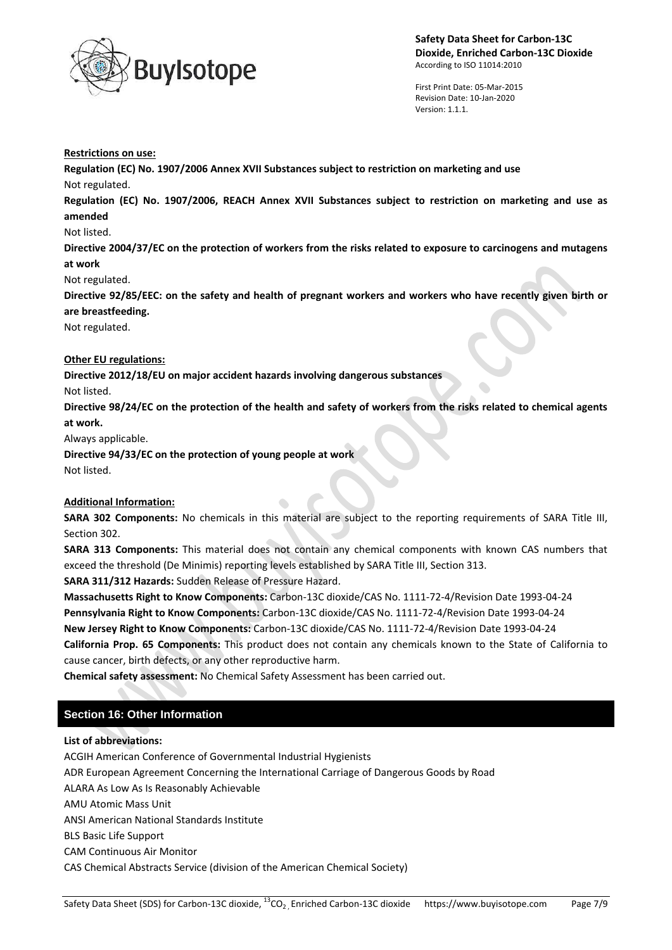

First Print Date: 05-Mar-2015 Revision Date: 10-Jan-2020 Version: 1.1.1.

#### **Restrictions on use:**

**Regulation (EC) No. 1907/2006 Annex XVII Substances subject to restriction on marketing and use** Not regulated.

**Regulation (EC) No. 1907/2006, REACH Annex XVII Substances subject to restriction on marketing and use as amended**

### Not listed.

**Directive 2004/37/EC on the protection of workers from the risks related to exposure to carcinogens and mutagens at work**

Not regulated.

**Directive 92/85/EEC: on the safety and health of pregnant workers and workers who have recently given birth or are breastfeeding.**

Not regulated.

## **Other EU regulations:**

**Directive 2012/18/EU on major accident hazards involving dangerous substances**

Not listed.

**Directive 98/24/EC on the protection of the health and safety of workers from the risks related to chemical agents at work.**

Always applicable.

**Directive 94/33/EC on the protection of young people at work**

Not listed.

## **Additional Information:**

**SARA 302 Components:** No chemicals in this material are subject to the reporting requirements of SARA Title III, Section 302.

**SARA 313 Components:** This material does not contain any chemical components with known CAS numbers that exceed the threshold (De Minimis) reporting levels established by SARA Title III, Section 313.

**SARA 311/312 Hazards:** Sudden Release of Pressure Hazard.

**Massachusetts Right to Know Components:** Carbon-13C dioxide/CAS No. 1111-72-4/Revision Date 1993-04-24 **Pennsylvania Right to Know Components:** Carbon-13C dioxide/CAS No. 1111-72-4/Revision Date 1993-04-24 **New Jersey Right to Know Components:** Carbon-13C dioxide/CAS No. 1111-72-4/Revision Date 1993-04-24 **California Prop. 65 Components:** This product does not contain any chemicals known to the State of California to cause cancer, birth defects, or any other reproductive harm.

**Chemical safety assessment:** No Chemical Safety Assessment has been carried out.

# **Section 16: Other Information**

## **List of abbreviations:**

ACGIH American Conference of Governmental Industrial Hygienists ADR European Agreement Concerning the International Carriage of Dangerous Goods by Road ALARA As Low As Is Reasonably Achievable AMU Atomic Mass Unit ANSI American National Standards Institute BLS Basic Life Support CAM Continuous Air Monitor CAS Chemical Abstracts Service (division of the American Chemical Society)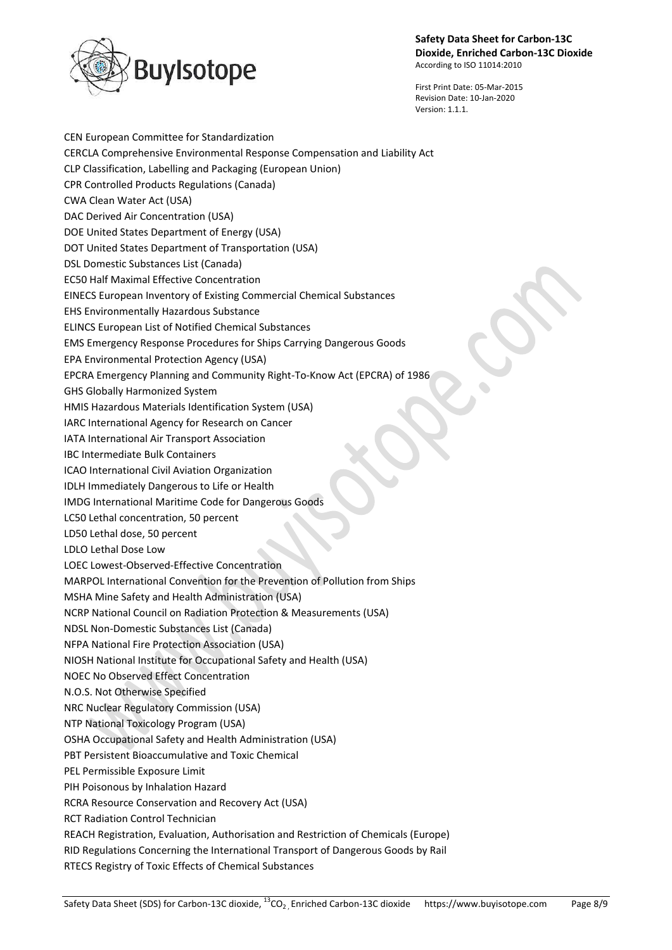

First Print Date: 05-Mar-2015 Revision Date: 10-Jan-2020 Version: 1.1.1.

CEN European Committee for Standardization CERCLA Comprehensive Environmental Response Compensation and Liability Act CLP Classification, Labelling and Packaging (European Union) CPR Controlled Products Regulations (Canada) CWA Clean Water Act (USA) DAC Derived Air Concentration (USA) DOE United States Department of Energy (USA) DOT United States Department of Transportation (USA) DSL Domestic Substances List (Canada) EC50 Half Maximal Effective Concentration EINECS European Inventory of Existing Commercial Chemical Substances EHS Environmentally Hazardous Substance ELINCS European List of Notified Chemical Substances EMS Emergency Response Procedures for Ships Carrying Dangerous Goods EPA Environmental Protection Agency (USA) EPCRA Emergency Planning and Community Right-To-Know Act (EPCRA) of 1986 GHS Globally Harmonized System HMIS Hazardous Materials Identification System (USA) IARC International Agency for Research on Cancer IATA International Air Transport Association IBC Intermediate Bulk Containers ICAO International Civil Aviation Organization IDLH Immediately Dangerous to Life or Health IMDG International Maritime Code for Dangerous Goods LC50 Lethal concentration, 50 percent LD50 Lethal dose, 50 percent LDLO Lethal Dose Low LOEC Lowest-Observed-Effective Concentration MARPOL International Convention for the Prevention of Pollution from Ships MSHA Mine Safety and Health Administration (USA) NCRP National Council on Radiation Protection & Measurements (USA) NDSL Non-Domestic Substances List (Canada) NFPA National Fire Protection Association (USA) NIOSH National Institute for Occupational Safety and Health (USA) NOEC No Observed Effect Concentration N.O.S. Not Otherwise Specified NRC Nuclear Regulatory Commission (USA) NTP National Toxicology Program (USA) OSHA Occupational Safety and Health Administration (USA) PBT Persistent Bioaccumulative and Toxic Chemical PEL Permissible Exposure Limit PIH Poisonous by Inhalation Hazard RCRA Resource Conservation and Recovery Act (USA) RCT Radiation Control Technician REACH Registration, Evaluation, Authorisation and Restriction of Chemicals (Europe) RID Regulations Concerning the International Transport of Dangerous Goods by Rail RTECS Registry of Toxic Effects of Chemical Substances